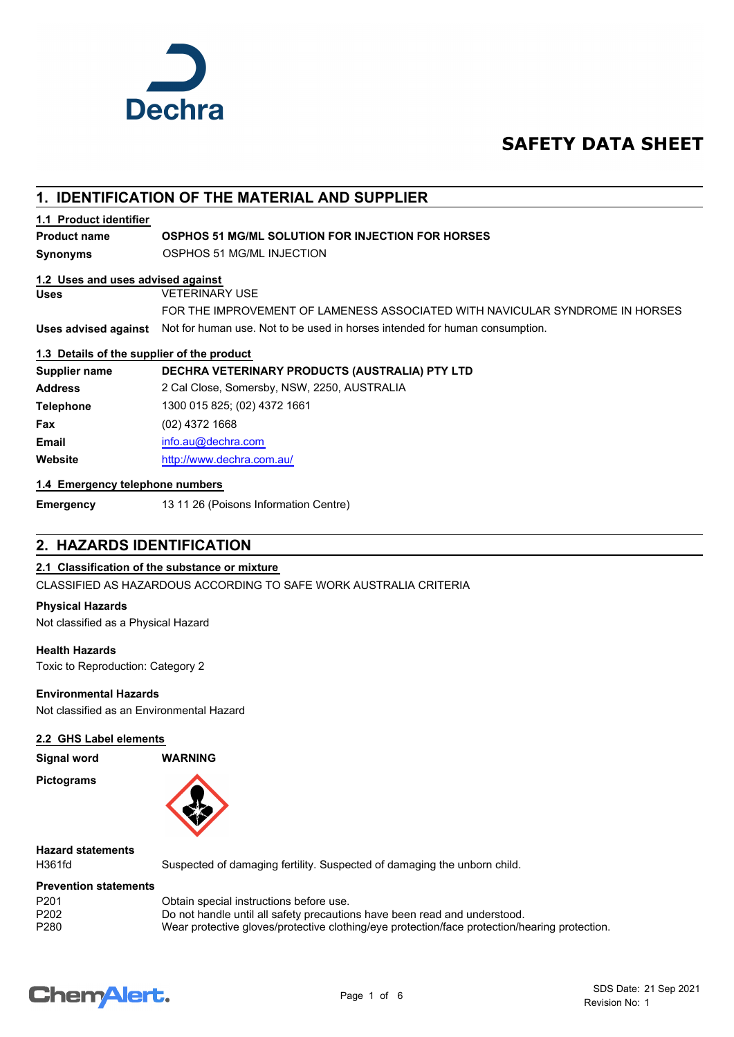

## **SAFETY DATA SHEET**

## **1. IDENTIFICATION OF THE MATERIAL AND SUPPLIER**

#### **1.1 Product identifier**

#### **Product name OSPHOS 51 MG/ML SOLUTION FOR INJECTION FOR HORSES**

**Synonyms** OSPHOS 51 MG/ML INJECTION

#### **1.2 Uses and uses advised against**

**Uses** VETERINARY USE

**Uses advised against** Not for human use. Not to be used in horses intended for human consumption. FOR THE IMPROVEMENT OF LAMENESS ASSOCIATED WITH NAVICULAR SYNDROME IN HORSES

#### **1.3 Details of the supplier of the product**

**Supplier name DECHRA VETERINARY PRODUCTS (AUSTRALIA) PTY LTD Address** 2 Cal Close, Somersby, NSW, 2250, AUSTRALIA **Telephone** 1300 015 825; (02) 4372 1661 **Fax** (02) 4372 1668 **Email** [info.au@](mailto:info.au@dechra.com)dechra.com **Website** [http://www.](http://www.dechra.com.au/)dechra.com.au/

#### **1.4 Emergency telephone numbers**

**Emergency** 13 11 26 (Poisons Information Centre)

## **2. HAZARDS IDENTIFICATION**

## **2.1 Classification of the substance or mixture**

CLASSIFIED AS HAZARDOUS ACCORDING TO SAFE WORK AUSTRALIA CRITERIA

#### **Physical Hazards**

Not classified as a Physical Hazard

#### **Health Hazards**

Toxic to Reproduction: Category 2

#### **Environmental Hazards**

Not classified as an Environmental Hazard

#### **2.2 GHS Label elements**

**Signal word WARNING**

**Pictograms**



## **Hazard statements**

H361fd Suspected of damaging fertility. Suspected of damaging the unborn child.

#### **Prevention statements**

| P <sub>201</sub> | Obtain special instructions before use.                                                       |
|------------------|-----------------------------------------------------------------------------------------------|
| P <sub>202</sub> | Do not handle until all safety precautions have been read and understood.                     |
| P280             | Wear protective gloves/protective clothing/eye protection/face protection/hearing protection. |

# **ChemAlert.**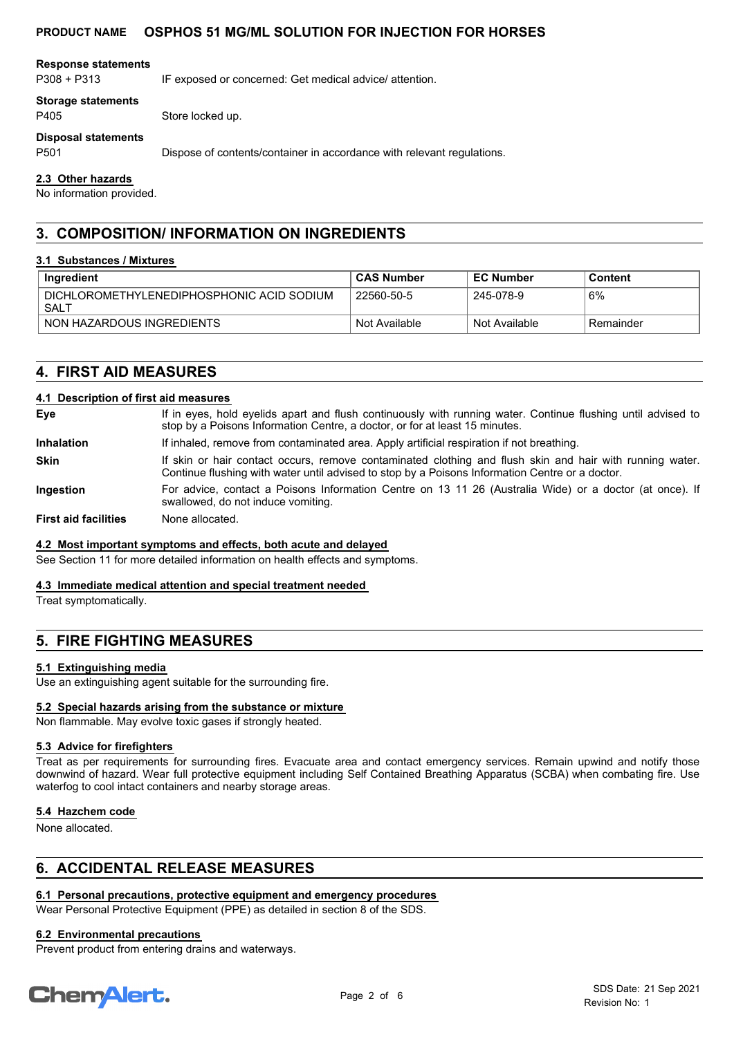#### **Response statements**

P308 + P313 IF exposed or concerned: Get medical advice/ attention.

#### **Storage statements**

P405 Store locked up.

#### **Disposal statements**

P501 Dispose of contents/container in accordance with relevant regulations.

#### **2.3 Other hazards**

No information provided.

## **3. COMPOSITION/ INFORMATION ON INGREDIENTS**

#### **3.1 Substances / Mixtures**

| Ingredient                                        | <b>CAS Number</b> | <b>EC Number</b> | Content    |
|---------------------------------------------------|-------------------|------------------|------------|
| DICHLOROMETHYLENEDIPHOSPHONIC ACID SODIUM<br>SALT | 22560-50-5        | 245-078-9        | 6%         |
| NON HAZARDOUS INGREDIENTS                         | Not Available     | Not Available    | ⊤Remainder |

## **4. FIRST AID MEASURES**

#### **4.1 Description of first aid measures**

| Eye                         | If in eyes, hold eyelids apart and flush continuously with running water. Continue flushing until advised to<br>stop by a Poisons Information Centre, a doctor, or for at least 15 minutes.                 |
|-----------------------------|-------------------------------------------------------------------------------------------------------------------------------------------------------------------------------------------------------------|
| <b>Inhalation</b>           | If inhaled, remove from contaminated area. Apply artificial respiration if not breathing.                                                                                                                   |
| <b>Skin</b>                 | If skin or hair contact occurs, remove contaminated clothing and flush skin and hair with running water.<br>Continue flushing with water until advised to stop by a Poisons Information Centre or a doctor. |
| Ingestion                   | For advice, contact a Poisons Information Centre on 13 11 26 (Australia Wide) or a doctor (at once). If<br>swallowed, do not induce vomiting.                                                               |
| <b>First aid facilities</b> | None allocated.                                                                                                                                                                                             |

#### **4.2 Most important symptoms and effects, both acute and delayed**

See Section 11 for more detailed information on health effects and symptoms.

#### **4.3 Immediate medical attention and special treatment needed**

Treat symptomatically.

## **5. FIRE FIGHTING MEASURES**

#### **5.1 Extinguishing media**

Use an extinguishing agent suitable for the surrounding fire.

#### **5.2 Special hazards arising from the substance or mixture**

Non flammable. May evolve toxic gases if strongly heated.

#### **5.3 Advice for firefighters**

Treat as per requirements for surrounding fires. Evacuate area and contact emergency services. Remain upwind and notify those downwind of hazard. Wear full protective equipment including Self Contained Breathing Apparatus (SCBA) when combating fire. Use waterfog to cool intact containers and nearby storage areas.

#### **5.4 Hazchem code**

None allocated.

## **6. ACCIDENTAL RELEASE MEASURES**

## **6.1 Personal precautions, protective equipment and emergency procedures**

Wear Personal Protective Equipment (PPE) as detailed in section 8 of the SDS.

## **6.2 Environmental precautions**

Prevent product from entering drains and waterways.

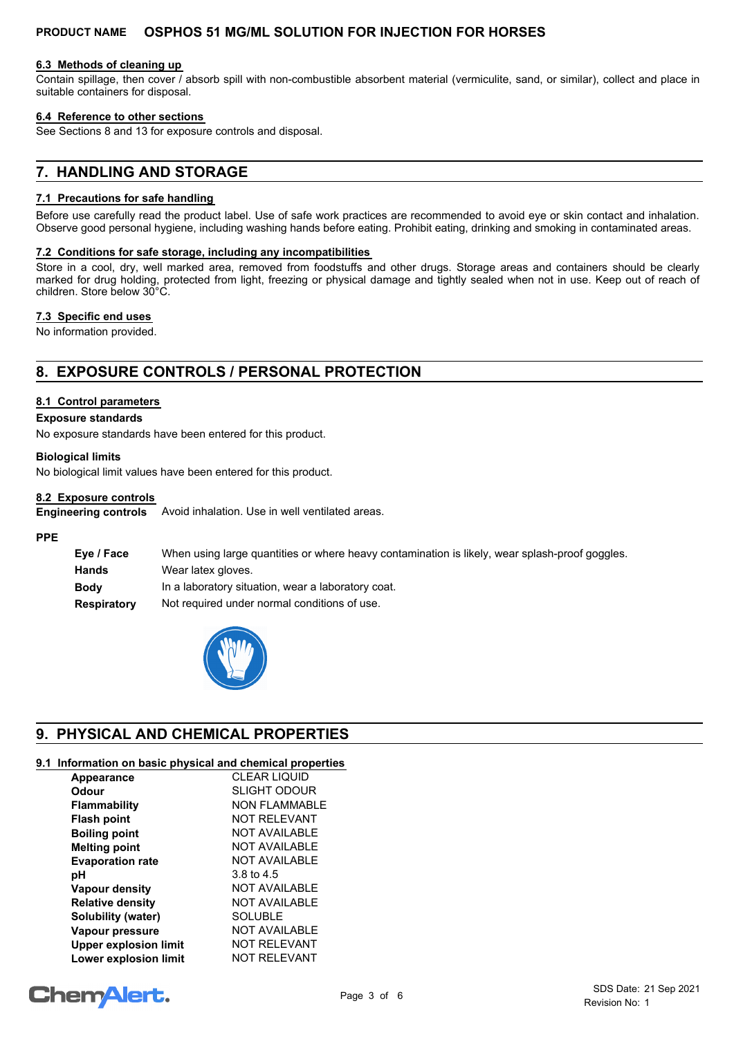#### **6.3 Methods of cleaning up**

Contain spillage, then cover / absorb spill with non-combustible absorbent material (vermiculite, sand, or similar), collect and place in suitable containers for disposal.

#### **6.4 Reference to other sections**

See Sections 8 and 13 for exposure controls and disposal.

## **7. HANDLING AND STORAGE**

#### **7.1 Precautions for safe handling**

Before use carefully read the product label. Use of safe work practices are recommended to avoid eye or skin contact and inhalation. Observe good personal hygiene, including washing hands before eating. Prohibit eating, drinking and smoking in contaminated areas.

#### **7.2 Conditions for safe storage, including any incompatibilities**

Store in a cool, dry, well marked area, removed from foodstuffs and other drugs. Storage areas and containers should be clearly marked for drug holding, protected from light, freezing or physical damage and tightly sealed when not in use. Keep out of reach of children. Store below 30°C.

#### **7.3 Specific end uses**

No information provided.

## **8. EXPOSURE CONTROLS / PERSONAL PROTECTION**

#### **8.1 Control parameters**

#### **Exposure standards**

No exposure standards have been entered for this product.

#### **Biological limits**

No biological limit values have been entered for this product.

#### **8.2 Exposure controls**

Avoid inhalation. Use in well ventilated areas. **Engineering controls**

#### **PPE**

| Eye / Face         | When using large quantities or where heavy contamination is likely, wear splash-proof goggles. |
|--------------------|------------------------------------------------------------------------------------------------|
| Hands              | Wear latex gloves.                                                                             |
| <b>Body</b>        | In a laboratory situation, wear a laboratory coat.                                             |
| <b>Respiratory</b> | Not required under normal conditions of use.                                                   |



## **9. PHYSICAL AND CHEMICAL PROPERTIES**

## **9.1 Information on basic physical and chemical properties**

| Appearance                   | <b>CLEAR LIQUID</b>  |
|------------------------------|----------------------|
| Odour                        | <b>SLIGHT ODOUR</b>  |
| <b>Flammability</b>          | NON FI AMMABI F      |
| <b>Flash point</b>           | <b>NOT RELEVANT</b>  |
| <b>Boiling point</b>         | NOT AVAILABLE        |
| <b>Melting point</b>         | NOT AVAILABLE        |
| <b>Evaporation rate</b>      | <b>NOT AVAILABLE</b> |
| рH                           | 3.8 to 4.5           |
| Vapour density               | NOT AVAILABLE        |
| <b>Relative density</b>      | <b>NOT AVAILABLE</b> |
| Solubility (water)           | <b>SOLUBLE</b>       |
| Vapour pressure              | <b>NOT AVAILABLE</b> |
| <b>Upper explosion limit</b> | <b>NOT RELEVANT</b>  |
| <b>Lower explosion limit</b> | <b>NOT RELEVANT</b>  |

# **ChemAlert.**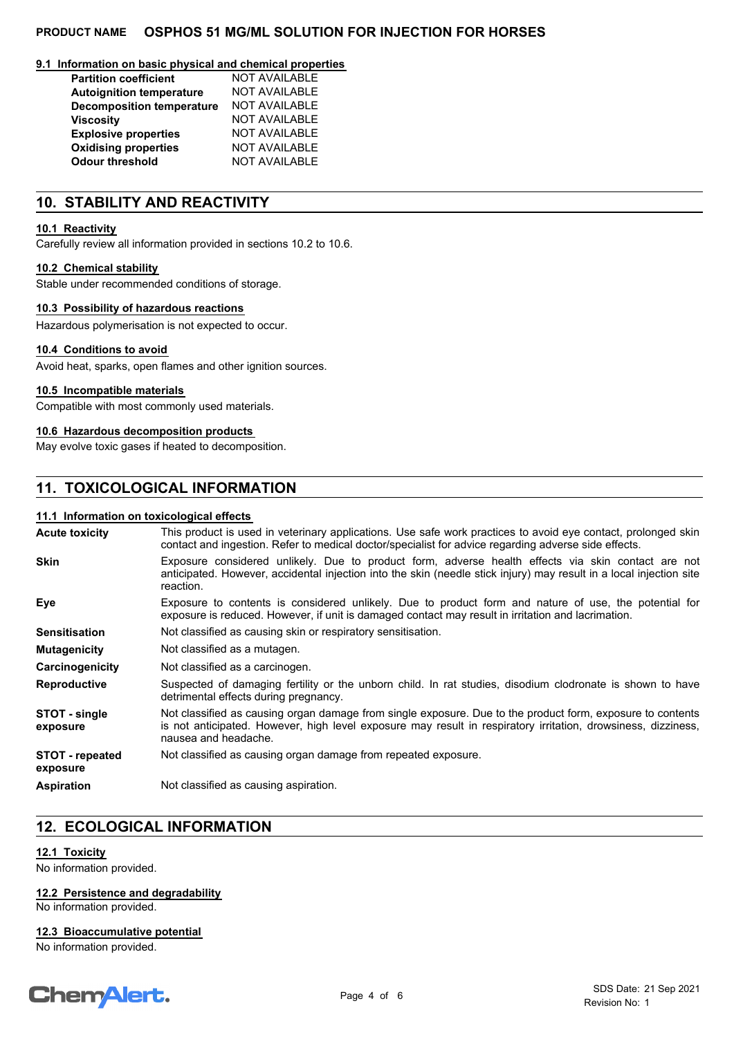#### **9.1 Information on basic physical and chemical properties**

| <b>Partition coefficient</b>     | <b>NOT AVAILABLE</b> |
|----------------------------------|----------------------|
| <b>Autoignition temperature</b>  | <b>NOT AVAILABLE</b> |
| <b>Decomposition temperature</b> | <b>NOT AVAILABLE</b> |
| <b>Viscosity</b>                 | <b>NOT AVAILABLE</b> |
| <b>Explosive properties</b>      | <b>NOT AVAILABLE</b> |
| <b>Oxidising properties</b>      | <b>NOT AVAILABLE</b> |
| <b>Odour threshold</b>           | <b>NOT AVAILABLE</b> |

## **10. STABILITY AND REACTIVITY**

#### **10.1 Reactivity**

Carefully review all information provided in sections 10.2 to 10.6.

#### **10.2 Chemical stability**

Stable under recommended conditions of storage.

#### **10.3 Possibility of hazardous reactions**

Hazardous polymerisation is not expected to occur.

#### **10.4 Conditions to avoid**

Avoid heat, sparks, open flames and other ignition sources.

#### **10.5 Incompatible materials**

Compatible with most commonly used materials.

#### **10.6 Hazardous decomposition products**

May evolve toxic gases if heated to decomposition.

## **11. TOXICOLOGICAL INFORMATION**

#### **11.1 Information on toxicological effects**

| <b>Acute toxicity</b>              | This product is used in veterinary applications. Use safe work practices to avoid eye contact, prolonged skin<br>contact and ingestion. Refer to medical doctor/specialist for advice regarding adverse side effects.                               |  |  |
|------------------------------------|-----------------------------------------------------------------------------------------------------------------------------------------------------------------------------------------------------------------------------------------------------|--|--|
| <b>Skin</b>                        | Exposure considered unlikely. Due to product form, adverse health effects via skin contact are not<br>anticipated. However, accidental injection into the skin (needle stick injury) may result in a local injection site<br>reaction.              |  |  |
| Eye                                | Exposure to contents is considered unlikely. Due to product form and nature of use, the potential for<br>exposure is reduced. However, if unit is damaged contact may result in irritation and lacrimation.                                         |  |  |
| <b>Sensitisation</b>               | Not classified as causing skin or respiratory sensitisation.                                                                                                                                                                                        |  |  |
| <b>Mutagenicity</b>                | Not classified as a mutagen.                                                                                                                                                                                                                        |  |  |
| Carcinogenicity                    | Not classified as a carcinogen.                                                                                                                                                                                                                     |  |  |
| <b>Reproductive</b>                | Suspected of damaging fertility or the unborn child. In rat studies, disodium clodronate is shown to have<br>detrimental effects during pregnancy.                                                                                                  |  |  |
| STOT - single<br>exposure          | Not classified as causing organ damage from single exposure. Due to the product form, exposure to contents<br>is not anticipated. However, high level exposure may result in respiratory irritation, drowsiness, dizziness,<br>nausea and headache. |  |  |
| <b>STOT - repeated</b><br>exposure | Not classified as causing organ damage from repeated exposure.                                                                                                                                                                                      |  |  |
| <b>Aspiration</b>                  | Not classified as causing aspiration.                                                                                                                                                                                                               |  |  |

## **12. ECOLOGICAL INFORMATION**

#### **12.1 Toxicity**

No information provided.

#### **12.2 Persistence and degradability**

No information provided.

#### **12.3 Bioaccumulative potential**

No information provided.

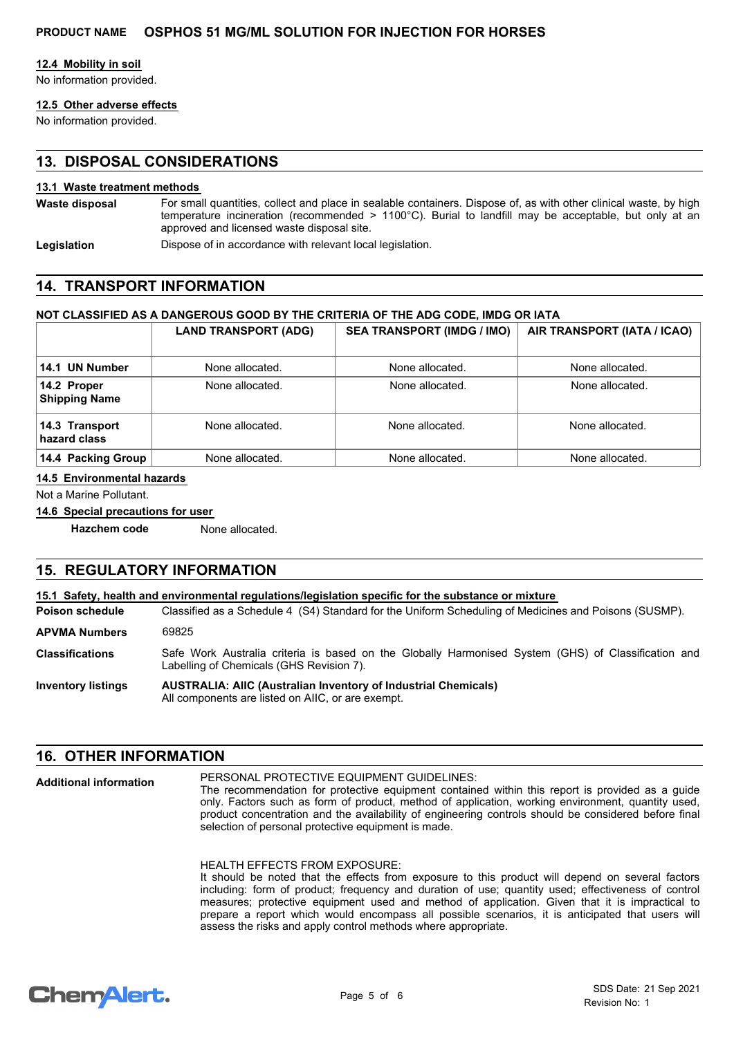#### **12.4 Mobility in soil**

No information provided.

## **12.5 Other adverse effects**

No information provided.

## **13. DISPOSAL CONSIDERATIONS**

#### **13.1 Waste treatment methods**

For small quantities, collect and place in sealable containers. Dispose of, as with other clinical waste, by high temperature incineration (recommended > 1100°C). Burial to landfill may be acceptable, but only at an approved and licensed waste disposal site. **Waste disposal**

**Legislation** Dispose of in accordance with relevant local legislation.

## **14. TRANSPORT INFORMATION**

#### **NOT CLASSIFIED AS A DANGEROUS GOOD BY THE CRITERIA OF THE ADG CODE, IMDG OR IATA**

|                                     | <b>LAND TRANSPORT (ADG)</b> | <b>SEA TRANSPORT (IMDG / IMO)</b> | AIR TRANSPORT (IATA / ICAO) |
|-------------------------------------|-----------------------------|-----------------------------------|-----------------------------|
|                                     |                             |                                   |                             |
| 14.1 UN Number                      | None allocated.             | None allocated.                   | None allocated.             |
| 14.2 Proper<br><b>Shipping Name</b> | None allocated.             | None allocated.                   | None allocated.             |
| 14.3 Transport<br>hazard class      | None allocated.             | None allocated.                   | None allocated.             |
| 14.4 Packing Group                  | None allocated.             | None allocated.                   | None allocated.             |

#### **14.5 Environmental hazards**

Not a Marine Pollutant.

#### **14.6 Special precautions for user**

**Hazchem code** None allocated.

## **15. REGULATORY INFORMATION**

| 15.1 Safety, health and environmental requiations/legislation specific for the substance or mixture |                                                                                                                                                 |  |  |
|-----------------------------------------------------------------------------------------------------|-------------------------------------------------------------------------------------------------------------------------------------------------|--|--|
| <b>Poison schedule</b>                                                                              | Classified as a Schedule 4 (S4) Standard for the Uniform Scheduling of Medicines and Poisons (SUSMP).                                           |  |  |
| <b>APVMA Numbers</b>                                                                                | 69825                                                                                                                                           |  |  |
| <b>Classifications</b>                                                                              | Safe Work Australia criteria is based on the Globally Harmonised System (GHS) of Classification and<br>Labelling of Chemicals (GHS Revision 7). |  |  |
| <b>Inventory listings</b>                                                                           | <b>AUSTRALIA: AIIC (Australian Inventory of Industrial Chemicals)</b><br>All components are listed on AIIC, or are exempt.                      |  |  |

## **16. OTHER INFORMATION**

PERSONAL PROTECTIVE EQUIPMENT GUIDELINES: The recommendation for protective equipment contained within this report is provided as a guide only. Factors such as form of product, method of application, working environment, quantity used, product concentration and the availability of engineering controls should be considered before final selection of personal protective equipment is made. **Additional information**

#### HEALTH EFFECTS FROM EXPOSURE:

It should be noted that the effects from exposure to this product will depend on several factors including: form of product; frequency and duration of use; quantity used; effectiveness of control measures; protective equipment used and method of application. Given that it is impractical to prepare a report which would encompass all possible scenarios, it is anticipated that users will assess the risks and apply control methods where appropriate.

## **ChemAlert.**